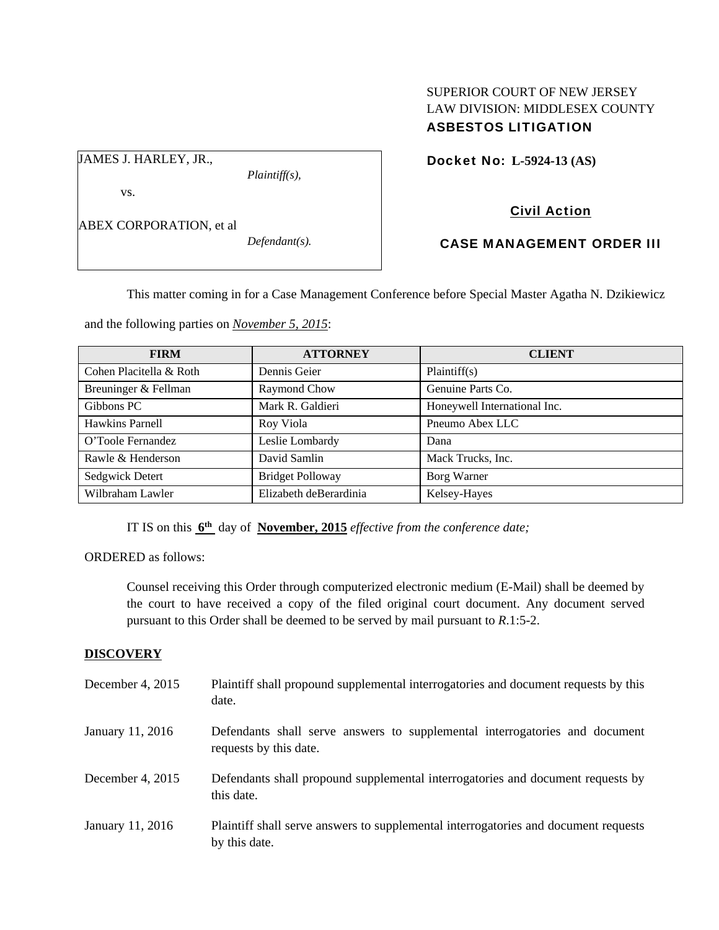# SUPERIOR COURT OF NEW JERSEY LAW DIVISION: MIDDLESEX COUNTY ASBESTOS LITIGATION

JAMES J. HARLEY, JR.,

vs.

*Plaintiff(s),* 

Docket No: **L-5924-13 (AS)** 

ABEX CORPORATION, et al

*Defendant(s).* 

# Civil Action CASE MANAGEMENT ORDER III

This matter coming in for a Case Management Conference before Special Master Agatha N. Dzikiewicz

and the following parties on *November 5, 2015*:

| <b>FIRM</b>             | <b>ATTORNEY</b>         | <b>CLIENT</b>                |
|-------------------------|-------------------------|------------------------------|
| Cohen Placitella & Roth | Dennis Geier            | Plaintiff(s)                 |
| Breuninger & Fellman    | Raymond Chow            | Genuine Parts Co.            |
| Gibbons PC              | Mark R. Galdieri        | Honeywell International Inc. |
| Hawkins Parnell         | Roy Viola               | Pneumo Abex LLC              |
| O'Toole Fernandez       | Leslie Lombardy         | Dana                         |
| Rawle & Henderson       | David Samlin            | Mack Trucks, Inc.            |
| Sedgwick Detert         | <b>Bridget Polloway</b> | Borg Warner                  |
| Wilbraham Lawler        | Elizabeth deBerardinia  | Kelsey-Hayes                 |

IT IS on this **6th** day of **November, 2015** *effective from the conference date;*

ORDERED as follows:

Counsel receiving this Order through computerized electronic medium (E-Mail) shall be deemed by the court to have received a copy of the filed original court document. Any document served pursuant to this Order shall be deemed to be served by mail pursuant to *R*.1:5-2.

# **DISCOVERY**

| December 4, 2015 | Plaintiff shall propound supplemental interrogatories and document requests by this<br>date.          |
|------------------|-------------------------------------------------------------------------------------------------------|
| January 11, 2016 | Defendants shall serve answers to supplemental interrogatories and document<br>requests by this date. |
| December 4, 2015 | Defendants shall propound supplemental interrogatories and document requests by<br>this date.         |
| January 11, 2016 | Plaintiff shall serve answers to supplemental interrogatories and document requests<br>by this date.  |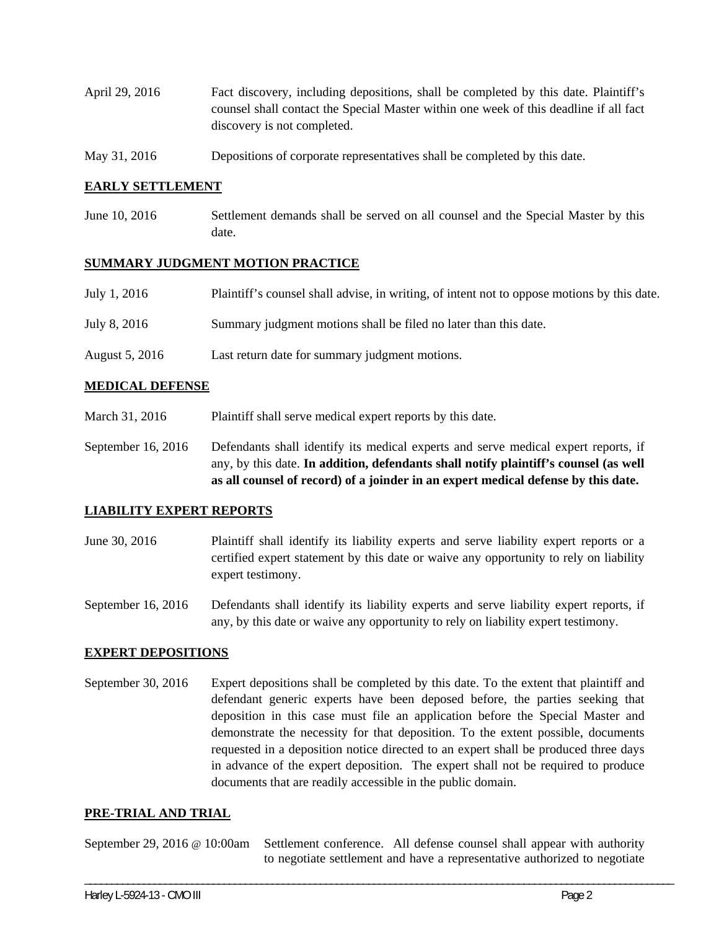- April 29, 2016 Fact discovery, including depositions, shall be completed by this date. Plaintiff's counsel shall contact the Special Master within one week of this deadline if all fact discovery is not completed.
- May 31, 2016 Depositions of corporate representatives shall be completed by this date.

## **EARLY SETTLEMENT**

June 10, 2016 Settlement demands shall be served on all counsel and the Special Master by this date.

### **SUMMARY JUDGMENT MOTION PRACTICE**

| July 1, 2016   | Plaintiff's counsel shall advise, in writing, of intent not to oppose motions by this date. |
|----------------|---------------------------------------------------------------------------------------------|
| July 8, 2016   | Summary judgment motions shall be filed no later than this date.                            |
| August 5, 2016 | Last return date for summary judgment motions.                                              |

### **MEDICAL DEFENSE**

March 31, 2016 Plaintiff shall serve medical expert reports by this date.

September 16, 2016 Defendants shall identify its medical experts and serve medical expert reports, if any, by this date. **In addition, defendants shall notify plaintiff's counsel (as well as all counsel of record) of a joinder in an expert medical defense by this date.** 

#### **LIABILITY EXPERT REPORTS**

June 30, 2016 Plaintiff shall identify its liability experts and serve liability expert reports or a certified expert statement by this date or waive any opportunity to rely on liability expert testimony.

September 16, 2016 Defendants shall identify its liability experts and serve liability expert reports, if any, by this date or waive any opportunity to rely on liability expert testimony.

#### **EXPERT DEPOSITIONS**

September 30, 2016 Expert depositions shall be completed by this date. To the extent that plaintiff and defendant generic experts have been deposed before, the parties seeking that deposition in this case must file an application before the Special Master and demonstrate the necessity for that deposition. To the extent possible, documents requested in a deposition notice directed to an expert shall be produced three days in advance of the expert deposition. The expert shall not be required to produce documents that are readily accessible in the public domain.

#### **PRE-TRIAL AND TRIAL**

September 29, 2016 @ 10:00am Settlement conference. All defense counsel shall appear with authority to negotiate settlement and have a representative authorized to negotiate

\_\_\_\_\_\_\_\_\_\_\_\_\_\_\_\_\_\_\_\_\_\_\_\_\_\_\_\_\_\_\_\_\_\_\_\_\_\_\_\_\_\_\_\_\_\_\_\_\_\_\_\_\_\_\_\_\_\_\_\_\_\_\_\_\_\_\_\_\_\_\_\_\_\_\_\_\_\_\_\_\_\_\_\_\_\_\_\_\_\_\_\_\_\_\_\_\_\_\_\_\_\_\_\_\_\_\_\_\_\_